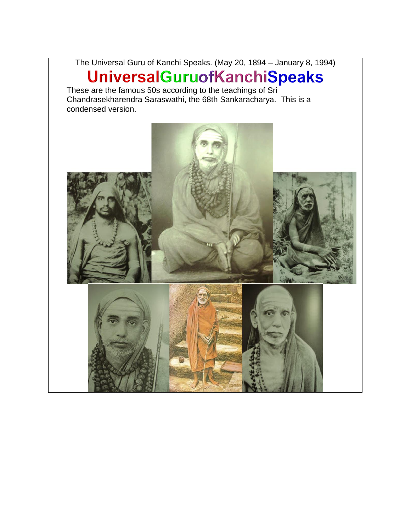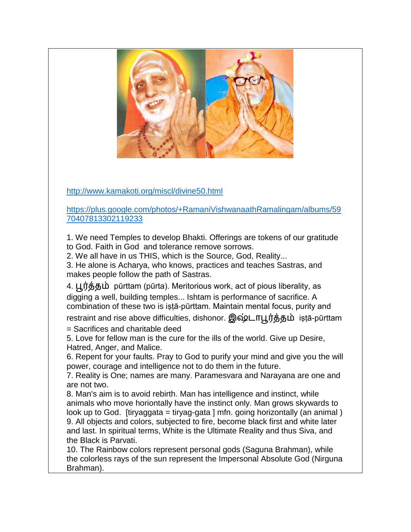

<http://www.kamakoti.org/miscl/divine50.html>

[https://plus.google.com/photos/+RamaniVishwanaathRamalingam/albums/59](https://plus.google.com/photos/+RamaniVishwanaathRamalingam/albums/5970407813302119233) [70407813302119233](https://plus.google.com/photos/+RamaniVishwanaathRamalingam/albums/5970407813302119233)

1. We need Temples to develop Bhakti. Offerings are tokens of our gratitude to God. Faith in God and tolerance remove sorrows.

2. We all have in us THIS, which is the Source, God, Reality...

3. He alone is Acharya, who knows, practices and teaches Sastras, and makes people follow the path of Sastras.

4. பூர்த்தம் pūrttam (pūrta). Meritorious work, act of pious liberality, as digging a well, building temples... Ishtam is performance of sacrifice. A combination of these two is iṣṭā-pūrttam. Maintain mental focus, purity and

restraint and rise above difficulties, dishonor. இஷ்டாபூர்த்தம் iṣṭā-pūrttam

= Sacrifices and charitable deed

5. Love for fellow man is the cure for the ills of the world. Give up Desire, Hatred, Anger, and Malice.

6. Repent for your faults. Pray to God to purify your mind and give you the will power, courage and intelligence not to do them in the future.

7. Reality is One; names are many. Paramesvara and Narayana are one and are not two.

8. Man's aim is to avoid rebirth. Man has intelligence and instinct, while animals who move horiontally have the instinct only. Man grows skywards to look up to God. [tiryaggata = tiryag-gata ] mfn. going horizontally (an animal) 9. All objects and colors, subjected to fire, become black first and white later and last. In spiritual terms, White is the Ultimate Reality and thus Siva, and the Black is Parvati.

10. The Rainbow colors represent personal gods (Saguna Brahman), while the colorless rays of the sun represent the Impersonal Absolute God (Nirguna Brahman).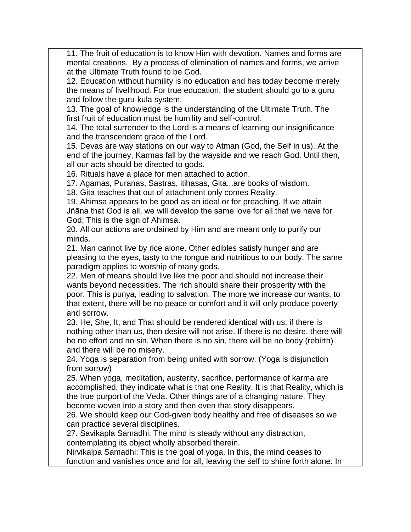11. The fruit of education is to know Him with devotion. Names and forms are mental creations. By a process of elimination of names and forms, we arrive at the Ultimate Truth found to be God.

12. Education without humility is no education and has today become merely the means of livelihood. For true education, the student should go to a guru and follow the guru-kula system.

13. The goal of knowledge is the understanding of the Ultimate Truth. The first fruit of education must be humility and self-control.

14. The total surrender to the Lord is a means of learning our insignificance and the transcendent grace of the Lord.

15. Devas are way stations on our way to Atman (God, the Self in us). At the end of the journey, Karmas fall by the wayside and we reach God. Until then, all our acts should be directed to gods.

16. Rituals have a place for men attached to action.

17. Agamas, Puranas, Sastras, itihasas, Gita...are books of wisdom.

18. Gita teaches that out of attachment only comes Reality.

19. Ahimsa appears to be good as an ideal or for preaching. If we attain Jñāna that God is all, we will develop the same love for all that we have for God; This is the sign of Ahimsa.

20. All our actions are ordained by Him and are meant only to purify our minds.

21. Man cannot live by rice alone. Other edibles satisfy hunger and are pleasing to the eyes, tasty to the tongue and nutritious to our body. The same paradigm applies to worship of many gods.

22. Men of means should live like the poor and should not increase their wants beyond necessities. The rich should share their prosperity with the poor. This is punya, leading to salvation. The more we increase our wants, to that extent, there will be no peace or comfort and it will only produce poverty and sorrow.

23. He, She, It, and That should be rendered identical with us. if there is nothing other than us, then desire will not arise. If there is no desire, there will be no effort and no sin. When there is no sin, there will be no body (rebirth) and there will be no misery.

24. Yoga is separation from being united with sorrow. (Yoga is disjunction from sorrow)

25. When yoga, meditation, austerity, sacrifice, performance of karma are accomplished, they indicate what is that one Reality. It is that Reality, which is the true purport of the Veda. Other things are of a changing nature. They become woven into a story and then even that story disappears.

26. We should keep our God-given body healthy and free of diseases so we can practice several disciplines.

27. Savikapla Samadhi: The mind is steady without any distraction, contemplating its object wholly absorbed therein.

Nirvikalpa Samadhi: This is the goal of yoga. In this, the mind ceases to function and vanishes once and for all, leaving the self to shine forth alone. In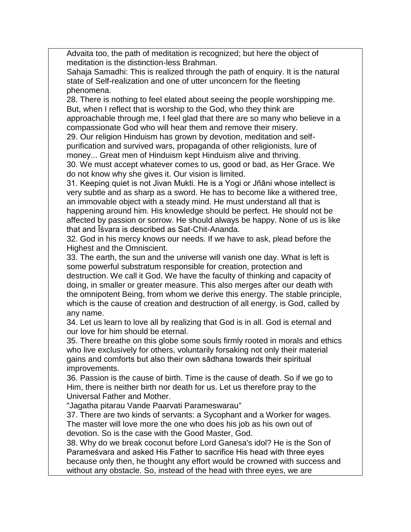Advaita too, the path of meditation is recognized; but here the object of meditation is the distinction-less Brahman.

Sahaja Samadhi: This is realized through the path of enquiry. It is the natural state of Self-realization and one of utter unconcern for the fleeting phenomena.

28. There is nothing to feel elated about seeing the people worshipping me. But, when I reflect that is worship to the God, who they think are

approachable through me, I feel glad that there are so many who believe in a compassionate God who will hear them and remove their misery.

29. Our religion Hinduism has grown by devotion, meditation and selfpurification and survived wars, propaganda of other religionists, lure of money... Great men of Hinduism kept Hinduism alive and thriving.

30. We must accept whatever comes to us, good or bad, as Her Grace. We do not know why she gives it. Our vision is limited.

31. Keeping quiet is not Jivan Mukti. He is a Yogi or Jñāni whose intellect is very subtle and as sharp as a sword. He has to become like a withered tree, an immovable object with a steady mind. He must understand all that is happening around him. His knowledge should be perfect. He should not be affected by passion or sorrow. He should always be happy. None of us is like that and Īśvara is described as Sat-Chit-Ananda.

32. God in his mercy knows our needs. If we have to ask, plead before the Highest and the Omniscient.

33. The earth, the sun and the universe will vanish one day. What is left is some powerful substratum responsible for creation, protection and destruction. We call it God. We have the faculty of thinking and capacity of doing, in smaller or greater measure. This also merges after our death with the omnipotent Being, from whom we derive this energy. The stable principle, which is the cause of creation and destruction of all energy, is God, called by any name.

34. Let us learn to love all by realizing that God is in all. God is eternal and our love for him should be eternal.

35. There breathe on this globe some souls firmly rooted in morals and ethics who live exclusively for others, voluntarily forsaking not only their material gains and comforts but also their own sādhana towards their spiritual improvements.

36. Passion is the cause of birth. Time is the cause of death. So if we go to Him, there is neither birth nor death for us. Let us therefore pray to the Universal Father and Mother.

"Jagatha pitarau Vande Paarvati Parameswarau"

37. There are two kinds of servants: a Sycophant and a Worker for wages. The master will love more the one who does his job as his own out of devotion. So is the case with the Good Master, God.

38. Why do we break coconut before Lord Ganesa's idol? He is the Son of Parameśvara and asked His Father to sacrifice His head with three eyes because only then, he thought any effort would be crowned with success and without any obstacle. So, instead of the head with three eyes, we are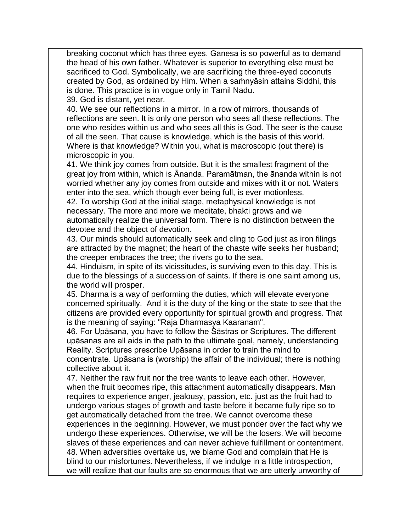breaking coconut which has three eyes. Ganesa is so powerful as to demand the head of his own father. Whatever is superior to everything else must be sacrificed to God. Symbolically, we are sacrificing the three-eyed coconuts created by God, as ordained by Him. When a saṁnyāsin attains Siddhi, this is done. This practice is in vogue only in Tamil Nadu.

39. God is distant, yet near.

40. We see our reflections in a mirror. In a row of mirrors, thousands of reflections are seen. It is only one person who sees all these reflections. The one who resides within us and who sees all this is God. The seer is the cause of all the seen. That cause is knowledge, which is the basis of this world. Where is that knowledge? Within you, what is macroscopic (out there) is microscopic in you.

41. We think joy comes from outside. But it is the smallest fragment of the great joy from within, which is Ananda. Paramātman, the ānanda within is not worried whether any joy comes from outside and mixes with it or not. Waters enter into the sea, which though ever being full, is ever motionless.

42. To worship God at the initial stage, metaphysical knowledge is not necessary. The more and more we meditate, bhakti grows and we automatically realize the universal form. There is no distinction between the devotee and the object of devotion.

43. Our minds should automatically seek and cling to God just as iron filings are attracted by the magnet; the heart of the chaste wife seeks her husband; the creeper embraces the tree; the rivers go to the sea.

44. Hinduism, in spite of its vicissitudes, is surviving even to this day. This is due to the blessings of a succession of saints. If there is one saint among us, the world will prosper.

45. Dharma is a way of performing the duties, which will elevate everyone concerned spiritually. And it is the duty of the king or the state to see that the citizens are provided every opportunity for spiritual growth and progress. That is the meaning of saying: "Raja Dharmasya Kaaranam".

46. For Upāsana, you have to follow the Śāstras or Scriptures. The different upāsanas are all aids in the path to the ultimate goal, namely, understanding Reality. Scriptures prescribe Upāsana in order to train the mind to concentrate. Upāsana is (worship) the affair of the individual; there is nothing collective about it.

47. Neither the raw fruit nor the tree wants to leave each other. However, when the fruit becomes ripe, this attachment automatically disappears. Man requires to experience anger, jealousy, passion, etc. just as the fruit had to undergo various stages of growth and taste before it became fully ripe so to get automatically detached from the tree. We cannot overcome these experiences in the beginning. However, we must ponder over the fact why we undergo these experiences. Otherwise, we will be the losers. We will become slaves of these experiences and can never achieve fulfillment or contentment. 48. When adversities overtake us, we blame God and complain that He is blind to our misfortunes. Nevertheless, if we indulge in a little introspection, we will realize that our faults are so enormous that we are utterly unworthy of